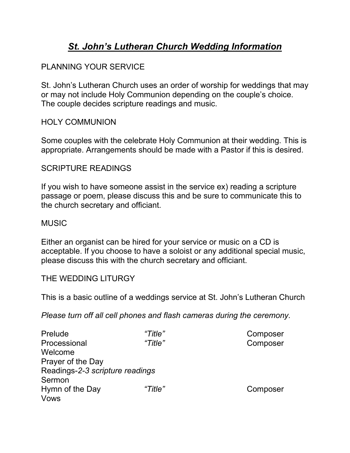# *St. John's Lutheran Church Wedding Information*

# PLANNING YOUR SERVICE

St. John's Lutheran Church uses an order of worship for weddings that may or may not include Holy Communion depending on the couple's choice. The couple decides scripture readings and music.

## HOLY COMMUNION

Some couples with the celebrate Holy Communion at their wedding. This is appropriate. Arrangements should be made with a Pastor if this is desired.

#### SCRIPTURE READINGS

If you wish to have someone assist in the service ex) reading a scripture passage or poem, please discuss this and be sure to communicate this to the church secretary and officiant.

#### MUSIC

Either an organist can be hired for your service or music on a CD is acceptable. If you choose to have a soloist or any additional special music, please discuss this with the church secretary and officiant.

# THE WEDDING LITURGY

This is a basic outline of a weddings service at St. John's Lutheran Church

*Please turn off all cell phones and flash cameras during the ceremony.* 

| Prelude                         | "Title" | Composer |
|---------------------------------|---------|----------|
| Processional                    | "Title" | Composer |
| Welcome                         |         |          |
| Prayer of the Day               |         |          |
| Readings-2-3 scripture readings |         |          |
| Sermon                          |         |          |
| Hymn of the Day                 | "Title" | Composer |
| Vows                            |         |          |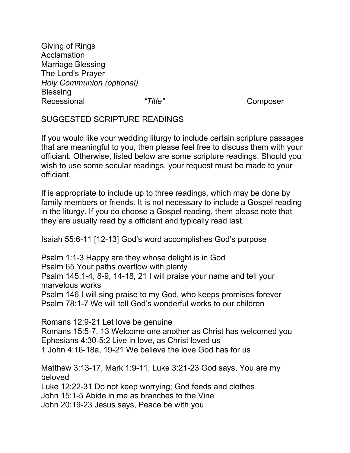Giving of Rings Acclamation Marriage Blessing The Lord's Prayer *Holy Communion (optional)* **Blessing** Recessional *"Title"* Composer

SUGGESTED SCRIPTURE READINGS

If you would like your wedding liturgy to include certain scripture passages that are meaningful to you, then please feel free to discuss them with your officiant. Otherwise, listed below are some scripture readings. Should you wish to use some secular readings, your request must be made to your officiant.

If is appropriate to include up to three readings, which may be done by family members or friends. It is not necessary to include a Gospel reading in the liturgy. If you do choose a Gospel reading, them please note that they are usually read by a officiant and typically read last.

Isaiah 55:6-11 [12-13] God's word accomplishes God's purpose

Psalm 1:1-3 Happy are they whose delight is in God Psalm 65 Your paths overflow with plenty Psalm 145:1-4, 8-9, 14-18, 21 I will praise your name and tell your marvelous works Psalm 146 I will sing praise to my God, who keeps promises forever Psalm 78:1-7 We will tell God's wonderful works to our children

Romans 12:9-21 Let love be genuine Romans 15:5-7, 13 Welcome one another as Christ has welcomed you Ephesians 4:30-5:2 Live in love, as Christ loved us 1 John 4:16-18a, 19-21 We believe the love God has for us

Matthew 3:13-17, Mark 1:9-11, Luke 3:21-23 God says, You are my beloved

Luke 12:22-31 Do not keep worrying; God feeds and clothes John 15:1-5 Abide in me as branches to the Vine John 20:19-23 Jesus says, Peace be with you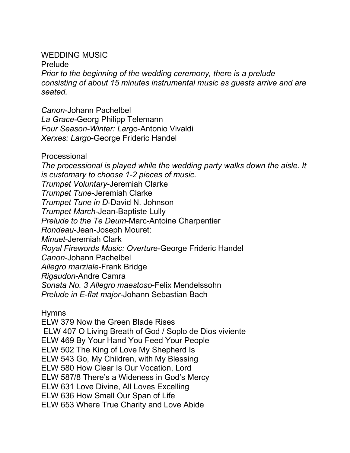## WEDDING MUSIC

Prelude

*Prior to the beginning of the wedding ceremony, there is a prelude consisting of about 15 minutes instrumental music as guests arrive and are seated.*

*Canon*-Johann Pachelbel *La Grace-*Georg Philipp Telemann *Four Season-Winter: Larg*o-Antonio Vivaldi *Xerxes: Largo*-George Frideric Handel

Processional

*The processional is played while the wedding party walks down the aisle. It is customary to choose 1-2 pieces of music. Trumpet Voluntary*-Jeremiah Clarke *Trumpet Tune*-Jeremiah Clarke *Trumpet Tune in D*-David N. Johnson *Trumpet March*-Jean-Baptiste Lully *Prelude to the Te Deum*-Marc-Antoine Charpentier *Rondeau-*Jean-Joseph Mouret: *Minuet*-Jeremiah Clark *Royal Firewords Music: Overture*-George Frideric Handel *Canon*-Johann Pachelbel *Allegro marziale*-Frank Bridge *Rigaudon*-Andre Camra *Sonata No. 3 Allegro maestoso*-Felix Mendelssohn *Prelude in E-flat major-*Johann Sebastian Bach

Hymns

ELW 379 Now the Green Blade Rises ELW 407 O Living Breath of God / Soplo de Dios viviente ELW 469 By Your Hand You Feed Your People ELW 502 The King of Love My Shepherd Is ELW 543 Go, My Children, with My Blessing ELW 580 How Clear Is Our Vocation, Lord ELW 587/8 There's a Wideness in God's Mercy ELW 631 Love Divine, All Loves Excelling ELW 636 How Small Our Span of Life ELW 653 Where True Charity and Love Abide